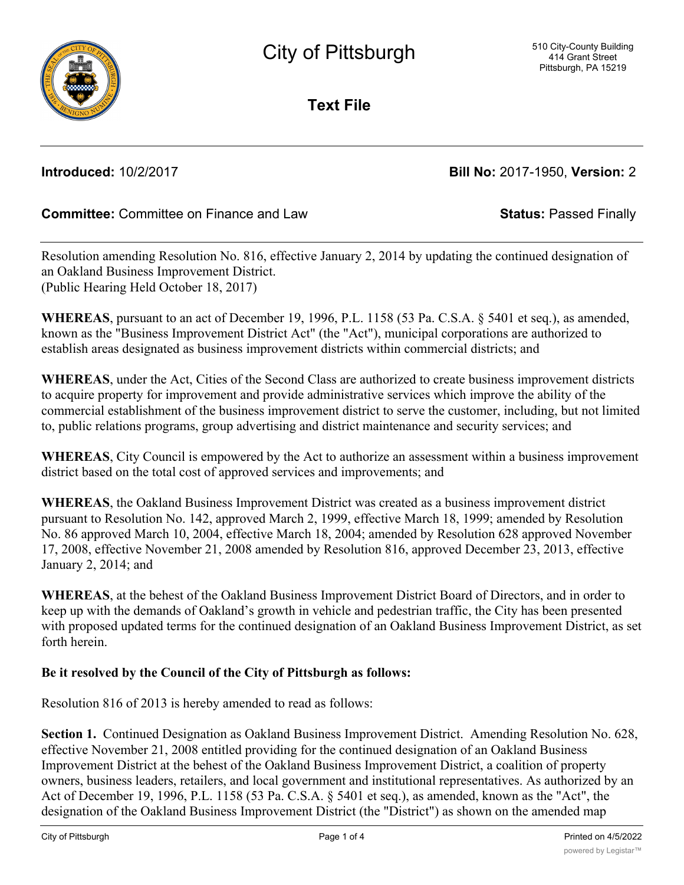

**Text File**

**Introduced:** 10/2/2017 **Bill No:** 2017-1950, **Version:** 2

# **Committee:** Committee on Finance and Law **Status:** Passed Finally

Resolution amending Resolution No. 816, effective January 2, 2014 by updating the continued designation of an Oakland Business Improvement District. (Public Hearing Held October 18, 2017)

**WHEREAS**, pursuant to an act of December 19, 1996, P.L. 1158 (53 Pa. C.S.A. § 5401 et seq.), as amended, known as the "Business Improvement District Act" (the "Act"), municipal corporations are authorized to establish areas designated as business improvement districts within commercial districts; and

**WHEREAS**, under the Act, Cities of the Second Class are authorized to create business improvement districts to acquire property for improvement and provide administrative services which improve the ability of the commercial establishment of the business improvement district to serve the customer, including, but not limited to, public relations programs, group advertising and district maintenance and security services; and

**WHEREAS**, City Council is empowered by the Act to authorize an assessment within a business improvement district based on the total cost of approved services and improvements; and

**WHEREAS**, the Oakland Business Improvement District was created as a business improvement district pursuant to Resolution No. 142, approved March 2, 1999, effective March 18, 1999; amended by Resolution No. 86 approved March 10, 2004, effective March 18, 2004; amended by Resolution 628 approved November 17, 2008, effective November 21, 2008 amended by Resolution 816, approved December 23, 2013, effective January 2, 2014; and

**WHEREAS**, at the behest of the Oakland Business Improvement District Board of Directors, and in order to keep up with the demands of Oakland's growth in vehicle and pedestrian traffic, the City has been presented with proposed updated terms for the continued designation of an Oakland Business Improvement District, as set forth herein.

## **Be it resolved by the Council of the City of Pittsburgh as follows:**

Resolution 816 of 2013 is hereby amended to read as follows:

**Section 1.** Continued Designation as Oakland Business Improvement District. Amending Resolution No. 628, effective November 21, 2008 entitled providing for the continued designation of an Oakland Business Improvement District at the behest of the Oakland Business Improvement District, a coalition of property owners, business leaders, retailers, and local government and institutional representatives. As authorized by an Act of December 19, 1996, P.L. 1158 (53 Pa. C.S.A. § 5401 et seq.), as amended, known as the "Act", the designation of the Oakland Business Improvement District (the "District") as shown on the amended map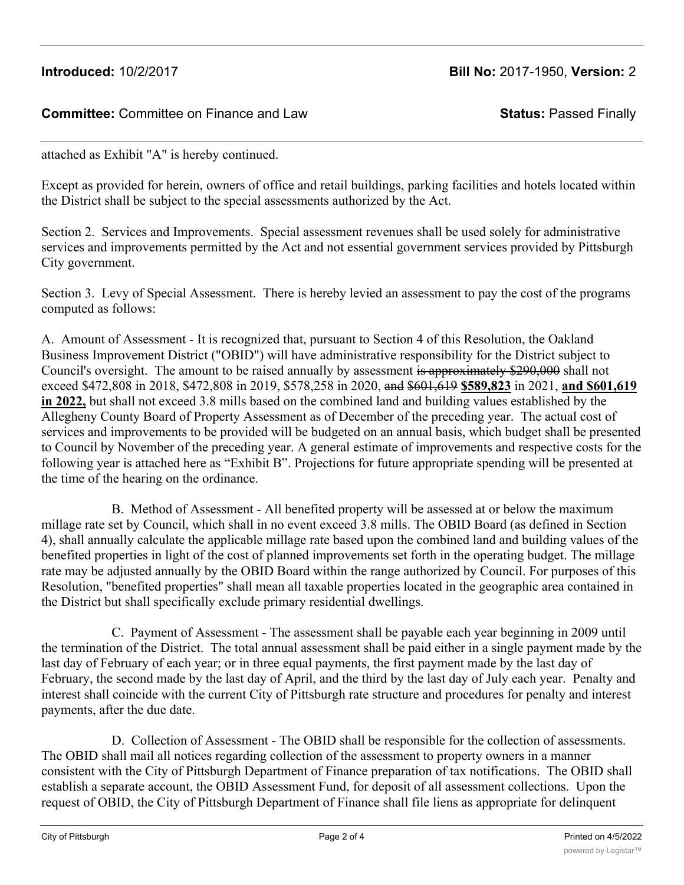## **Committee:** Committee on Finance and Law **Status:** Passed Finally

attached as Exhibit "A" is hereby continued.

Except as provided for herein, owners of office and retail buildings, parking facilities and hotels located within the District shall be subject to the special assessments authorized by the Act.

Section 2. Services and Improvements. Special assessment revenues shall be used solely for administrative services and improvements permitted by the Act and not essential government services provided by Pittsburgh City government.

Section 3. Levy of Special Assessment. There is hereby levied an assessment to pay the cost of the programs computed as follows:

A. Amount of Assessment - It is recognized that, pursuant to Section 4 of this Resolution, the Oakland Business Improvement District ("OBID") will have administrative responsibility for the District subject to Council's oversight. The amount to be raised annually by assessment is approximately \$290,000 shall not exceed \$472,808 in 2018, \$472,808 in 2019, \$578,258 in 2020, and \$601,619 **\$589,823** in 2021, **and \$601,619 in 2022,** but shall not exceed 3.8 mills based on the combined land and building values established by the Allegheny County Board of Property Assessment as of December of the preceding year. The actual cost of services and improvements to be provided will be budgeted on an annual basis, which budget shall be presented to Council by November of the preceding year. A general estimate of improvements and respective costs for the following year is attached here as "Exhibit B". Projections for future appropriate spending will be presented at the time of the hearing on the ordinance.

 B. Method of Assessment - All benefited property will be assessed at or below the maximum millage rate set by Council, which shall in no event exceed 3.8 mills. The OBID Board (as defined in Section 4), shall annually calculate the applicable millage rate based upon the combined land and building values of the benefited properties in light of the cost of planned improvements set forth in the operating budget. The millage rate may be adjusted annually by the OBID Board within the range authorized by Council. For purposes of this Resolution, "benefited properties" shall mean all taxable properties located in the geographic area contained in the District but shall specifically exclude primary residential dwellings.

 C. Payment of Assessment - The assessment shall be payable each year beginning in 2009 until the termination of the District. The total annual assessment shall be paid either in a single payment made by the last day of February of each year; or in three equal payments, the first payment made by the last day of February, the second made by the last day of April, and the third by the last day of July each year. Penalty and interest shall coincide with the current City of Pittsburgh rate structure and procedures for penalty and interest payments, after the due date.

 D. Collection of Assessment - The OBID shall be responsible for the collection of assessments. The OBID shall mail all notices regarding collection of the assessment to property owners in a manner consistent with the City of Pittsburgh Department of Finance preparation of tax notifications. The OBID shall establish a separate account, the OBID Assessment Fund, for deposit of all assessment collections. Upon the request of OBID, the City of Pittsburgh Department of Finance shall file liens as appropriate for delinquent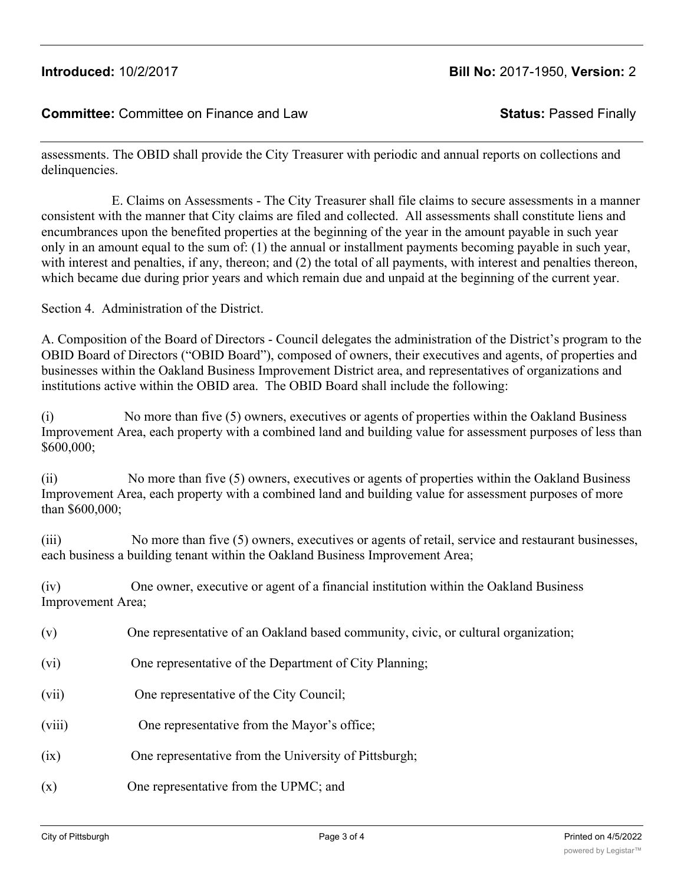# **Introduced:** 10/2/2017 **Bill No:** 2017-1950, **Version:** 2

### **Committee:** Committee on Finance and Law **Status:** Passed Finally

assessments. The OBID shall provide the City Treasurer with periodic and annual reports on collections and delinquencies.

 E. Claims on Assessments - The City Treasurer shall file claims to secure assessments in a manner consistent with the manner that City claims are filed and collected. All assessments shall constitute liens and encumbrances upon the benefited properties at the beginning of the year in the amount payable in such year only in an amount equal to the sum of: (1) the annual or installment payments becoming payable in such year, with interest and penalties, if any, thereon; and (2) the total of all payments, with interest and penalties thereon, which became due during prior years and which remain due and unpaid at the beginning of the current year.

Section 4. Administration of the District.

A. Composition of the Board of Directors - Council delegates the administration of the District's program to the OBID Board of Directors ("OBID Board"), composed of owners, their executives and agents, of properties and businesses within the Oakland Business Improvement District area, and representatives of organizations and institutions active within the OBID area. The OBID Board shall include the following:

(i) No more than five (5) owners, executives or agents of properties within the Oakland Business Improvement Area, each property with a combined land and building value for assessment purposes of less than \$600,000;

(ii) No more than five (5) owners, executives or agents of properties within the Oakland Business Improvement Area, each property with a combined land and building value for assessment purposes of more than \$600,000;

(iii) No more than five (5) owners, executives or agents of retail, service and restaurant businesses, each business a building tenant within the Oakland Business Improvement Area;

(iv) One owner, executive or agent of a financial institution within the Oakland Business Improvement Area;

- (v) One representative of an Oakland based community, civic, or cultural organization;
- (vi) One representative of the Department of City Planning;
- (vii) One representative of the City Council;
- (viii) One representative from the Mayor's office;
- (ix) One representative from the University of Pittsburgh;
- (x) One representative from the UPMC; and